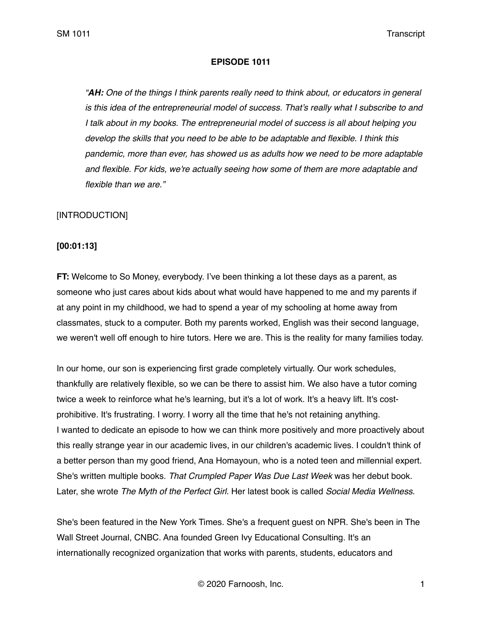#### **EPISODE 1011**

*"AH: One of the things I think parents really need to think about, or educators in general is this idea of the entrepreneurial model of success. That's really what I subscribe to and I talk about in my books. The entrepreneurial model of success is all about helping you develop the skills that you need to be able to be adaptable and flexible. I think this pandemic, more than ever, has showed us as adults how we need to be more adaptable and flexible. For kids, we're actually seeing how some of them are more adaptable and flexible than we are."*

## [INTRODUCTION]

#### **[00:01:13]**

**FT:** Welcome to So Money, everybody. I've been thinking a lot these days as a parent, as someone who just cares about kids about what would have happened to me and my parents if at any point in my childhood, we had to spend a year of my schooling at home away from classmates, stuck to a computer. Both my parents worked, English was their second language, we weren't well off enough to hire tutors. Here we are. This is the reality for many families today.

In our home, our son is experiencing first grade completely virtually. Our work schedules, thankfully are relatively flexible, so we can be there to assist him. We also have a tutor coming twice a week to reinforce what he's learning, but it's a lot of work. It's a heavy lift. It's costprohibitive. It's frustrating. I worry. I worry all the time that he's not retaining anything. I wanted to dedicate an episode to how we can think more positively and more proactively about this really strange year in our academic lives, in our children's academic lives. I couldn't think of a better person than my good friend, Ana Homayoun, who is a noted teen and millennial expert. She's written multiple books. *That Crumpled Paper Was Due Last Week* was her debut book. Later, she wrote *The Myth of the Perfect Girl.* Her latest book is called *Social Media Wellness*.

She's been featured in the New York Times. She's a frequent guest on NPR. She's been in The Wall Street Journal, CNBC. Ana founded Green Ivy Educational Consulting. It's an internationally recognized organization that works with parents, students, educators and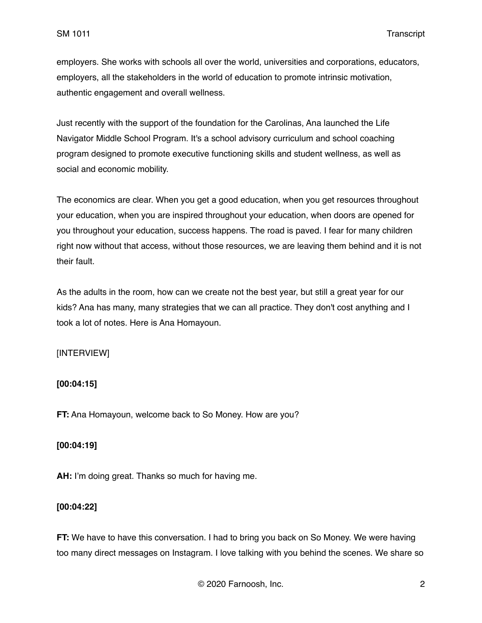employers. She works with schools all over the world, universities and corporations, educators, employers, all the stakeholders in the world of education to promote intrinsic motivation, authentic engagement and overall wellness.

Just recently with the support of the foundation for the Carolinas, Ana launched the Life Navigator Middle School Program. It's a school advisory curriculum and school coaching program designed to promote executive functioning skills and student wellness, as well as social and economic mobility.

The economics are clear. When you get a good education, when you get resources throughout your education, when you are inspired throughout your education, when doors are opened for you throughout your education, success happens. The road is paved. I fear for many children right now without that access, without those resources, we are leaving them behind and it is not their fault.

As the adults in the room, how can we create not the best year, but still a great year for our kids? Ana has many, many strategies that we can all practice. They don't cost anything and I took a lot of notes. Here is Ana Homayoun.

# [INTERVIEW]

#### **[00:04:15]**

**FT:** Ana Homayoun, welcome back to So Money. How are you?

#### **[00:04:19]**

**AH:** I'm doing great. Thanks so much for having me.

#### **[00:04:22]**

**FT:** We have to have this conversation. I had to bring you back on So Money. We were having too many direct messages on Instagram. I love talking with you behind the scenes. We share so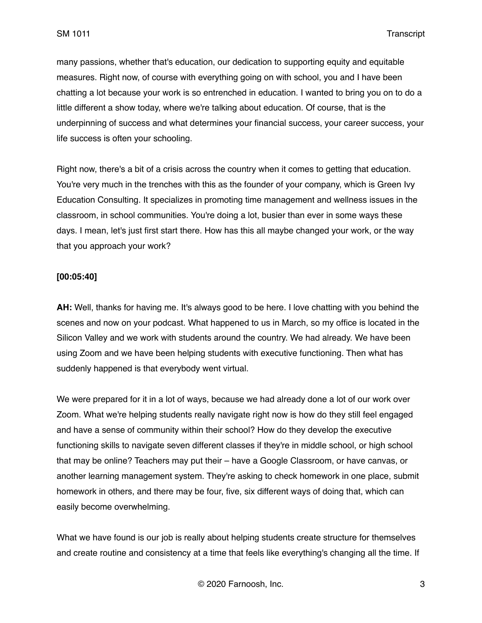many passions, whether that's education, our dedication to supporting equity and equitable measures. Right now, of course with everything going on with school, you and I have been chatting a lot because your work is so entrenched in education. I wanted to bring you on to do a little different a show today, where we're talking about education. Of course, that is the underpinning of success and what determines your financial success, your career success, your life success is often your schooling.

Right now, there's a bit of a crisis across the country when it comes to getting that education. You're very much in the trenches with this as the founder of your company, which is Green Ivy Education Consulting. It specializes in promoting time management and wellness issues in the classroom, in school communities. You're doing a lot, busier than ever in some ways these days. I mean, let's just first start there. How has this all maybe changed your work, or the way that you approach your work?

#### **[00:05:40]**

**AH:** Well, thanks for having me. It's always good to be here. I love chatting with you behind the scenes and now on your podcast. What happened to us in March, so my office is located in the Silicon Valley and we work with students around the country. We had already. We have been using Zoom and we have been helping students with executive functioning. Then what has suddenly happened is that everybody went virtual.

We were prepared for it in a lot of ways, because we had already done a lot of our work over Zoom. What we're helping students really navigate right now is how do they still feel engaged and have a sense of community within their school? How do they develop the executive functioning skills to navigate seven different classes if they're in middle school, or high school that may be online? Teachers may put their – have a Google Classroom, or have canvas, or another learning management system. They're asking to check homework in one place, submit homework in others, and there may be four, five, six different ways of doing that, which can easily become overwhelming.

What we have found is our job is really about helping students create structure for themselves and create routine and consistency at a time that feels like everything's changing all the time. If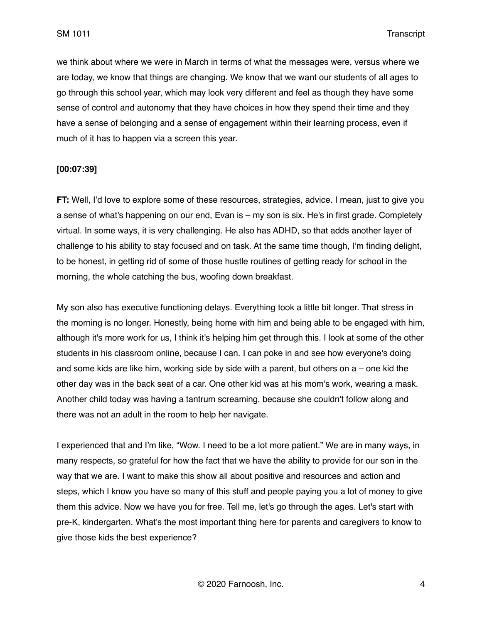we think about where we were in March in terms of what the messages were, versus where we are today, we know that things are changing. We know that we want our students of all ages to go through this school year, which may look very different and feel as though they have some sense of control and autonomy that they have choices in how they spend their time and they have a sense of belonging and a sense of engagement within their learning process, even if much of it has to happen via a screen this year.

## **[00:07:39]**

**FT:** Well, I'd love to explore some of these resources, strategies, advice. I mean, just to give you a sense of what's happening on our end, Evan is – my son is six. He's in first grade. Completely virtual. In some ways, it is very challenging. He also has ADHD, so that adds another layer of challenge to his ability to stay focused and on task. At the same time though, I'm finding delight, to be honest, in getting rid of some of those hustle routines of getting ready for school in the morning, the whole catching the bus, woofing down breakfast.

My son also has executive functioning delays. Everything took a little bit longer. That stress in the morning is no longer. Honestly, being home with him and being able to be engaged with him, although it's more work for us, I think it's helping him get through this. I look at some of the other students in his classroom online, because I can. I can poke in and see how everyone's doing and some kids are like him, working side by side with a parent, but others on  $a$  – one kid the other day was in the back seat of a car. One other kid was at his mom's work, wearing a mask. Another child today was having a tantrum screaming, because she couldn't follow along and there was not an adult in the room to help her navigate.

I experienced that and I'm like, "Wow. I need to be a lot more patient." We are in many ways, in many respects, so grateful for how the fact that we have the ability to provide for our son in the way that we are. I want to make this show all about positive and resources and action and steps, which I know you have so many of this stuff and people paying you a lot of money to give them this advice. Now we have you for free. Tell me, let's go through the ages. Let's start with pre-K, kindergarten. What's the most important thing here for parents and caregivers to know to give those kids the best experience?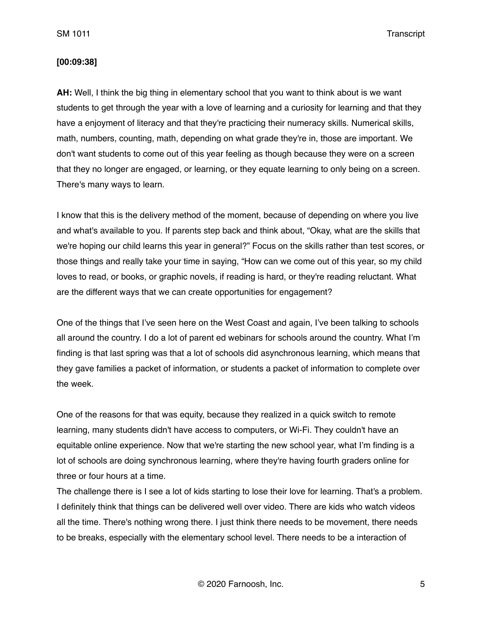#### **[00:09:38]**

**AH:** Well, I think the big thing in elementary school that you want to think about is we want students to get through the year with a love of learning and a curiosity for learning and that they have a enjoyment of literacy and that they're practicing their numeracy skills. Numerical skills, math, numbers, counting, math, depending on what grade they're in, those are important. We don't want students to come out of this year feeling as though because they were on a screen that they no longer are engaged, or learning, or they equate learning to only being on a screen. There's many ways to learn.

I know that this is the delivery method of the moment, because of depending on where you live and what's available to you. If parents step back and think about, "Okay, what are the skills that we're hoping our child learns this year in general?" Focus on the skills rather than test scores, or those things and really take your time in saying, "How can we come out of this year, so my child loves to read, or books, or graphic novels, if reading is hard, or they're reading reluctant. What are the different ways that we can create opportunities for engagement?

One of the things that I've seen here on the West Coast and again, I've been talking to schools all around the country. I do a lot of parent ed webinars for schools around the country. What I'm finding is that last spring was that a lot of schools did asynchronous learning, which means that they gave families a packet of information, or students a packet of information to complete over the week.

One of the reasons for that was equity, because they realized in a quick switch to remote learning, many students didn't have access to computers, or Wi-Fi. They couldn't have an equitable online experience. Now that we're starting the new school year, what I'm finding is a lot of schools are doing synchronous learning, where they're having fourth graders online for three or four hours at a time.

The challenge there is I see a lot of kids starting to lose their love for learning. That's a problem. I definitely think that things can be delivered well over video. There are kids who watch videos all the time. There's nothing wrong there. I just think there needs to be movement, there needs to be breaks, especially with the elementary school level. There needs to be a interaction of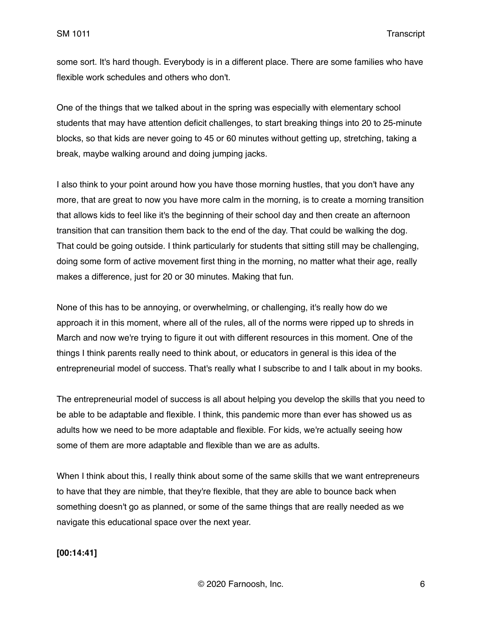some sort. It's hard though. Everybody is in a different place. There are some families who have flexible work schedules and others who don't.

One of the things that we talked about in the spring was especially with elementary school students that may have attention deficit challenges, to start breaking things into 20 to 25-minute blocks, so that kids are never going to 45 or 60 minutes without getting up, stretching, taking a break, maybe walking around and doing jumping jacks.

I also think to your point around how you have those morning hustles, that you don't have any more, that are great to now you have more calm in the morning, is to create a morning transition that allows kids to feel like it's the beginning of their school day and then create an afternoon transition that can transition them back to the end of the day. That could be walking the dog. That could be going outside. I think particularly for students that sitting still may be challenging, doing some form of active movement first thing in the morning, no matter what their age, really makes a difference, just for 20 or 30 minutes. Making that fun.

None of this has to be annoying, or overwhelming, or challenging, it's really how do we approach it in this moment, where all of the rules, all of the norms were ripped up to shreds in March and now we're trying to figure it out with different resources in this moment. One of the things I think parents really need to think about, or educators in general is this idea of the entrepreneurial model of success. That's really what I subscribe to and I talk about in my books.

The entrepreneurial model of success is all about helping you develop the skills that you need to be able to be adaptable and flexible. I think, this pandemic more than ever has showed us as adults how we need to be more adaptable and flexible. For kids, we're actually seeing how some of them are more adaptable and flexible than we are as adults.

When I think about this, I really think about some of the same skills that we want entrepreneurs to have that they are nimble, that they're flexible, that they are able to bounce back when something doesn't go as planned, or some of the same things that are really needed as we navigate this educational space over the next year.

## **[00:14:41]**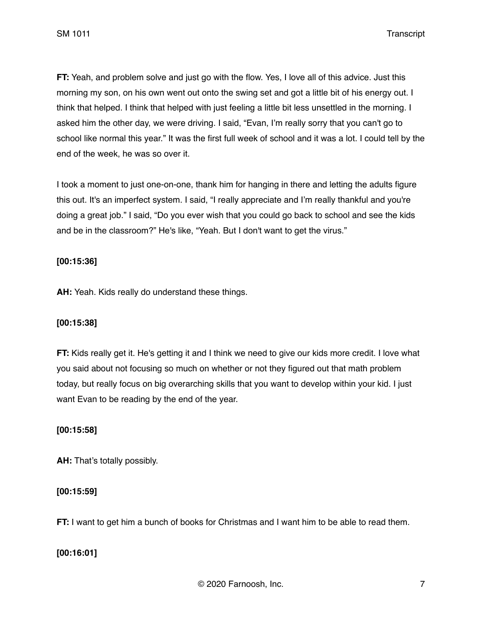**FT:** Yeah, and problem solve and just go with the flow. Yes, I love all of this advice. Just this morning my son, on his own went out onto the swing set and got a little bit of his energy out. I think that helped. I think that helped with just feeling a little bit less unsettled in the morning. I asked him the other day, we were driving. I said, "Evan, I'm really sorry that you can't go to school like normal this year." It was the first full week of school and it was a lot. I could tell by the end of the week, he was so over it.

I took a moment to just one-on-one, thank him for hanging in there and letting the adults figure this out. It's an imperfect system. I said, "I really appreciate and I'm really thankful and you're doing a great job." I said, "Do you ever wish that you could go back to school and see the kids and be in the classroom?" He's like, "Yeah. But I don't want to get the virus."

# **[00:15:36]**

**AH:** Yeah. Kids really do understand these things.

## **[00:15:38]**

**FT:** Kids really get it. He's getting it and I think we need to give our kids more credit. I love what you said about not focusing so much on whether or not they figured out that math problem today, but really focus on big overarching skills that you want to develop within your kid. I just want Evan to be reading by the end of the year.

## **[00:15:58]**

**AH:** That's totally possibly.

# **[00:15:59]**

**FT:** I want to get him a bunch of books for Christmas and I want him to be able to read them.

# **[00:16:01]**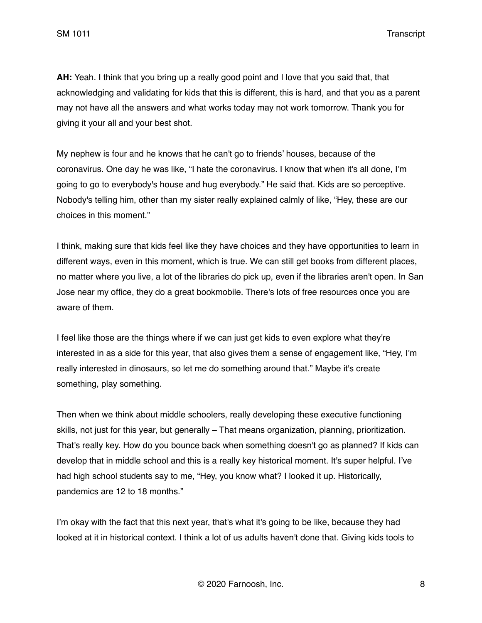**AH:** Yeah. I think that you bring up a really good point and I love that you said that, that acknowledging and validating for kids that this is different, this is hard, and that you as a parent may not have all the answers and what works today may not work tomorrow. Thank you for giving it your all and your best shot.

My nephew is four and he knows that he can't go to friends' houses, because of the coronavirus. One day he was like, "I hate the coronavirus. I know that when it's all done, I'm going to go to everybody's house and hug everybody." He said that. Kids are so perceptive. Nobody's telling him, other than my sister really explained calmly of like, "Hey, these are our choices in this moment."

I think, making sure that kids feel like they have choices and they have opportunities to learn in different ways, even in this moment, which is true. We can still get books from different places, no matter where you live, a lot of the libraries do pick up, even if the libraries aren't open. In San Jose near my office, they do a great bookmobile. There's lots of free resources once you are aware of them.

I feel like those are the things where if we can just get kids to even explore what they're interested in as a side for this year, that also gives them a sense of engagement like, "Hey, I'm really interested in dinosaurs, so let me do something around that." Maybe it's create something, play something.

Then when we think about middle schoolers, really developing these executive functioning skills, not just for this year, but generally – That means organization, planning, prioritization. That's really key. How do you bounce back when something doesn't go as planned? If kids can develop that in middle school and this is a really key historical moment. It's super helpful. I've had high school students say to me, "Hey, you know what? I looked it up. Historically, pandemics are 12 to 18 months."

I'm okay with the fact that this next year, that's what it's going to be like, because they had looked at it in historical context. I think a lot of us adults haven't done that. Giving kids tools to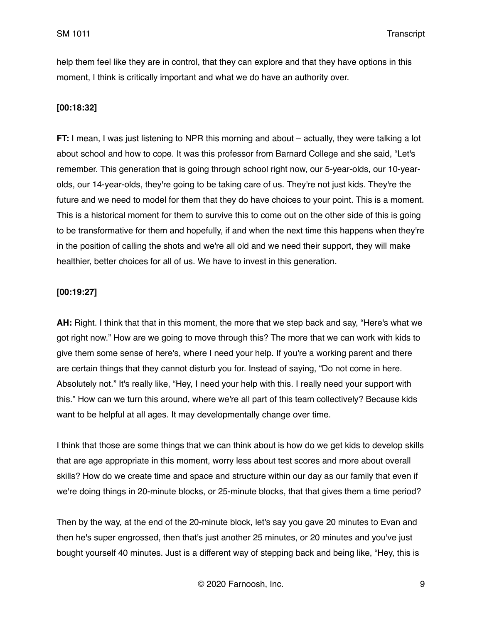help them feel like they are in control, that they can explore and that they have options in this moment, I think is critically important and what we do have an authority over.

# **[00:18:32]**

**FT:** I mean, I was just listening to NPR this morning and about – actually, they were talking a lot about school and how to cope. It was this professor from Barnard College and she said, "Let's remember. This generation that is going through school right now, our 5-year-olds, our 10-yearolds, our 14-year-olds, they're going to be taking care of us. They're not just kids. They're the future and we need to model for them that they do have choices to your point. This is a moment. This is a historical moment for them to survive this to come out on the other side of this is going to be transformative for them and hopefully, if and when the next time this happens when they're in the position of calling the shots and we're all old and we need their support, they will make healthier, better choices for all of us. We have to invest in this generation.

# **[00:19:27]**

**AH:** Right. I think that that in this moment, the more that we step back and say, "Here's what we got right now." How are we going to move through this? The more that we can work with kids to give them some sense of here's, where I need your help. If you're a working parent and there are certain things that they cannot disturb you for. Instead of saying, "Do not come in here. Absolutely not." It's really like, "Hey, I need your help with this. I really need your support with this." How can we turn this around, where we're all part of this team collectively? Because kids want to be helpful at all ages. It may developmentally change over time.

I think that those are some things that we can think about is how do we get kids to develop skills that are age appropriate in this moment, worry less about test scores and more about overall skills? How do we create time and space and structure within our day as our family that even if we're doing things in 20-minute blocks, or 25-minute blocks, that that gives them a time period?

Then by the way, at the end of the 20-minute block, let's say you gave 20 minutes to Evan and then he's super engrossed, then that's just another 25 minutes, or 20 minutes and you've just bought yourself 40 minutes. Just is a different way of stepping back and being like, "Hey, this is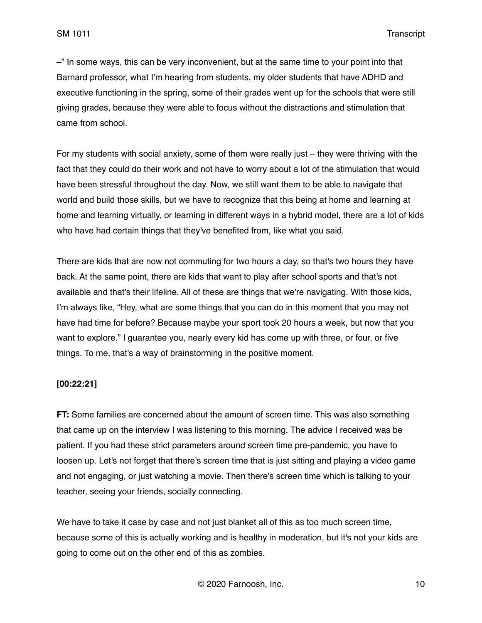–" In some ways, this can be very inconvenient, but at the same time to your point into that Barnard professor, what I'm hearing from students, my older students that have ADHD and executive functioning in the spring, some of their grades went up for the schools that were still giving grades, because they were able to focus without the distractions and stimulation that came from school.

For my students with social anxiety, some of them were really just – they were thriving with the fact that they could do their work and not have to worry about a lot of the stimulation that would have been stressful throughout the day. Now, we still want them to be able to navigate that world and build those skills, but we have to recognize that this being at home and learning at home and learning virtually, or learning in different ways in a hybrid model, there are a lot of kids who have had certain things that they've benefited from, like what you said.

There are kids that are now not commuting for two hours a day, so that's two hours they have back. At the same point, there are kids that want to play after school sports and that's not available and that's their lifeline. All of these are things that we're navigating. With those kids, I'm always like, "Hey, what are some things that you can do in this moment that you may not have had time for before? Because maybe your sport took 20 hours a week, but now that you want to explore." I guarantee you, nearly every kid has come up with three, or four, or five things. To me, that's a way of brainstorming in the positive moment.

## **[00:22:21]**

**FT:** Some families are concerned about the amount of screen time. This was also something that came up on the interview I was listening to this morning. The advice I received was be patient. If you had these strict parameters around screen time pre-pandemic, you have to loosen up. Let's not forget that there's screen time that is just sitting and playing a video game and not engaging, or just watching a movie. Then there's screen time which is talking to your teacher, seeing your friends, socially connecting.

We have to take it case by case and not just blanket all of this as too much screen time, because some of this is actually working and is healthy in moderation, but it's not your kids are going to come out on the other end of this as zombies.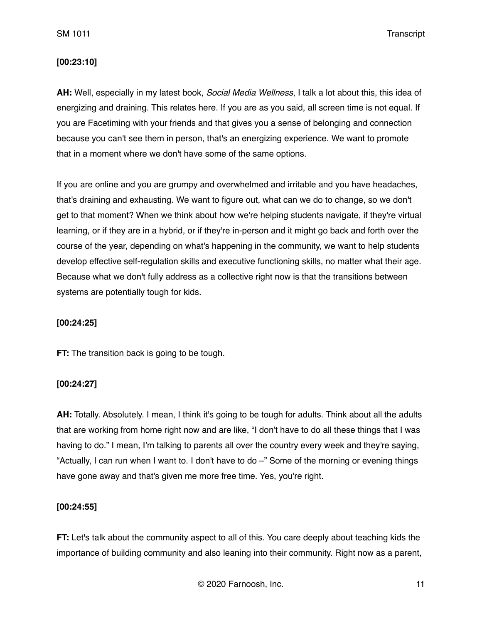## **[00:23:10]**

**AH:** Well, especially in my latest book, *Social Media Wellness*, I talk a lot about this, this idea of energizing and draining. This relates here. If you are as you said, all screen time is not equal. If you are Facetiming with your friends and that gives you a sense of belonging and connection because you can't see them in person, that's an energizing experience. We want to promote that in a moment where we don't have some of the same options.

If you are online and you are grumpy and overwhelmed and irritable and you have headaches, that's draining and exhausting. We want to figure out, what can we do to change, so we don't get to that moment? When we think about how we're helping students navigate, if they're virtual learning, or if they are in a hybrid, or if they're in-person and it might go back and forth over the course of the year, depending on what's happening in the community, we want to help students develop effective self-regulation skills and executive functioning skills, no matter what their age. Because what we don't fully address as a collective right now is that the transitions between systems are potentially tough for kids.

## **[00:24:25]**

**FT:** The transition back is going to be tough.

## **[00:24:27]**

**AH:** Totally. Absolutely. I mean, I think it's going to be tough for adults. Think about all the adults that are working from home right now and are like, "I don't have to do all these things that I was having to do." I mean, I'm talking to parents all over the country every week and they're saying, "Actually, I can run when I want to. I don't have to do –" Some of the morning or evening things have gone away and that's given me more free time. Yes, you're right.

## **[00:24:55]**

**FT:** Let's talk about the community aspect to all of this. You care deeply about teaching kids the importance of building community and also leaning into their community. Right now as a parent,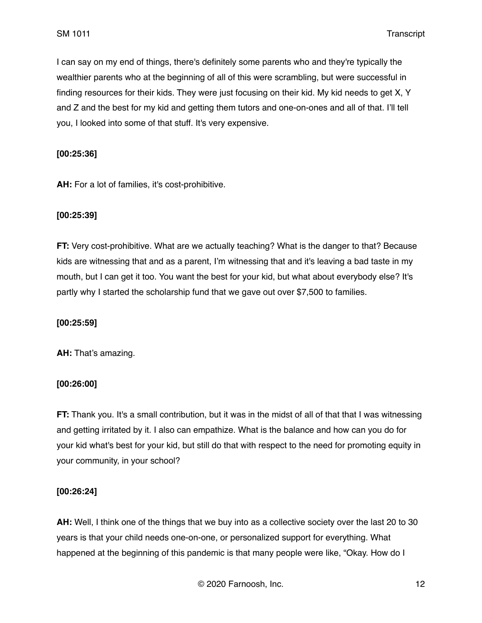I can say on my end of things, there's definitely some parents who and they're typically the wealthier parents who at the beginning of all of this were scrambling, but were successful in finding resources for their kids. They were just focusing on their kid. My kid needs to get X, Y and Z and the best for my kid and getting them tutors and one-on-ones and all of that. I'll tell you, I looked into some of that stuff. It's very expensive.

#### **[00:25:36]**

**AH:** For a lot of families, it's cost-prohibitive.

#### **[00:25:39]**

**FT:** Very cost-prohibitive. What are we actually teaching? What is the danger to that? Because kids are witnessing that and as a parent, I'm witnessing that and it's leaving a bad taste in my mouth, but I can get it too. You want the best for your kid, but what about everybody else? It's partly why I started the scholarship fund that we gave out over \$7,500 to families.

#### **[00:25:59]**

**AH:** That's amazing.

## **[00:26:00]**

**FT:** Thank you. It's a small contribution, but it was in the midst of all of that that I was witnessing and getting irritated by it. I also can empathize. What is the balance and how can you do for your kid what's best for your kid, but still do that with respect to the need for promoting equity in your community, in your school?

## **[00:26:24]**

**AH:** Well, I think one of the things that we buy into as a collective society over the last 20 to 30 years is that your child needs one-on-one, or personalized support for everything. What happened at the beginning of this pandemic is that many people were like, "Okay. How do I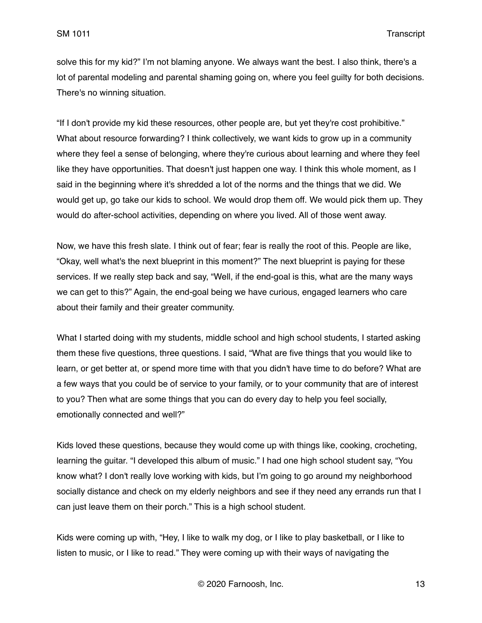solve this for my kid?" I'm not blaming anyone. We always want the best. I also think, there's a lot of parental modeling and parental shaming going on, where you feel guilty for both decisions. There's no winning situation.

"If I don't provide my kid these resources, other people are, but yet they're cost prohibitive." What about resource forwarding? I think collectively, we want kids to grow up in a community where they feel a sense of belonging, where they're curious about learning and where they feel like they have opportunities. That doesn't just happen one way. I think this whole moment, as I said in the beginning where it's shredded a lot of the norms and the things that we did. We would get up, go take our kids to school. We would drop them off. We would pick them up. They would do after-school activities, depending on where you lived. All of those went away.

Now, we have this fresh slate. I think out of fear; fear is really the root of this. People are like, "Okay, well what's the next blueprint in this moment?" The next blueprint is paying for these services. If we really step back and say, "Well, if the end-goal is this, what are the many ways we can get to this?" Again, the end-goal being we have curious, engaged learners who care about their family and their greater community.

What I started doing with my students, middle school and high school students, I started asking them these five questions, three questions. I said, "What are five things that you would like to learn, or get better at, or spend more time with that you didn't have time to do before? What are a few ways that you could be of service to your family, or to your community that are of interest to you? Then what are some things that you can do every day to help you feel socially, emotionally connected and well?"

Kids loved these questions, because they would come up with things like, cooking, crocheting, learning the guitar. "I developed this album of music." I had one high school student say, "You know what? I don't really love working with kids, but I'm going to go around my neighborhood socially distance and check on my elderly neighbors and see if they need any errands run that I can just leave them on their porch." This is a high school student.

Kids were coming up with, "Hey, I like to walk my dog, or I like to play basketball, or I like to listen to music, or I like to read." They were coming up with their ways of navigating the

© 2020 Farnoosh, Inc. 13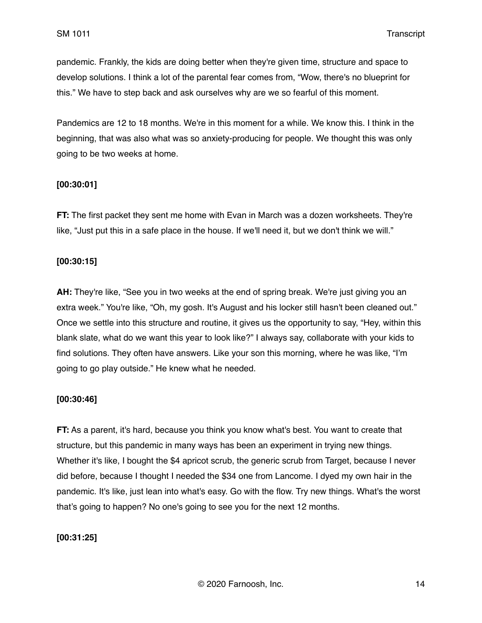pandemic. Frankly, the kids are doing better when they're given time, structure and space to develop solutions. I think a lot of the parental fear comes from, "Wow, there's no blueprint for this." We have to step back and ask ourselves why are we so fearful of this moment.

Pandemics are 12 to 18 months. We're in this moment for a while. We know this. I think in the beginning, that was also what was so anxiety-producing for people. We thought this was only going to be two weeks at home.

## **[00:30:01]**

**FT:** The first packet they sent me home with Evan in March was a dozen worksheets. They're like, "Just put this in a safe place in the house. If we'll need it, but we don't think we will."

## **[00:30:15]**

**AH:** They're like, "See you in two weeks at the end of spring break. We're just giving you an extra week." You're like, "Oh, my gosh. It's August and his locker still hasn't been cleaned out." Once we settle into this structure and routine, it gives us the opportunity to say, "Hey, within this blank slate, what do we want this year to look like?" I always say, collaborate with your kids to find solutions. They often have answers. Like your son this morning, where he was like, "I'm going to go play outside." He knew what he needed.

## **[00:30:46]**

**FT:** As a parent, it's hard, because you think you know what's best. You want to create that structure, but this pandemic in many ways has been an experiment in trying new things. Whether it's like, I bought the \$4 apricot scrub, the generic scrub from Target, because I never did before, because I thought I needed the \$34 one from Lancome. I dyed my own hair in the pandemic. It's like, just lean into what's easy. Go with the flow. Try new things. What's the worst that's going to happen? No one's going to see you for the next 12 months.

## **[00:31:25]**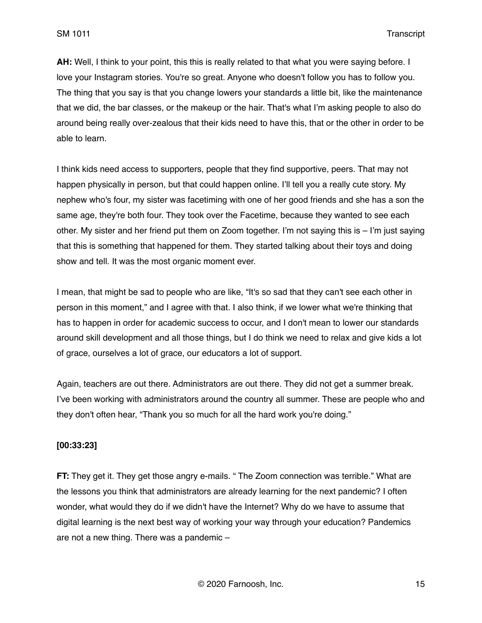**AH:** Well, I think to your point, this this is really related to that what you were saying before. I love your Instagram stories. You're so great. Anyone who doesn't follow you has to follow you. The thing that you say is that you change lowers your standards a little bit, like the maintenance that we did, the bar classes, or the makeup or the hair. That's what I'm asking people to also do around being really over-zealous that their kids need to have this, that or the other in order to be able to learn.

I think kids need access to supporters, people that they find supportive, peers. That may not happen physically in person, but that could happen online. I'll tell you a really cute story. My nephew who's four, my sister was facetiming with one of her good friends and she has a son the same age, they're both four. They took over the Facetime, because they wanted to see each other. My sister and her friend put them on Zoom together. I'm not saying this is – I'm just saying that this is something that happened for them. They started talking about their toys and doing show and tell. It was the most organic moment ever.

I mean, that might be sad to people who are like, "It's so sad that they can't see each other in person in this moment," and I agree with that. I also think, if we lower what we're thinking that has to happen in order for academic success to occur, and I don't mean to lower our standards around skill development and all those things, but I do think we need to relax and give kids a lot of grace, ourselves a lot of grace, our educators a lot of support.

Again, teachers are out there. Administrators are out there. They did not get a summer break. I've been working with administrators around the country all summer. These are people who and they don't often hear, "Thank you so much for all the hard work you're doing."

## **[00:33:23]**

**FT:** They get it. They get those angry e-mails. " The Zoom connection was terrible." What are the lessons you think that administrators are already learning for the next pandemic? I often wonder, what would they do if we didn't have the Internet? Why do we have to assume that digital learning is the next best way of working your way through your education? Pandemics are not a new thing. There was a pandemic –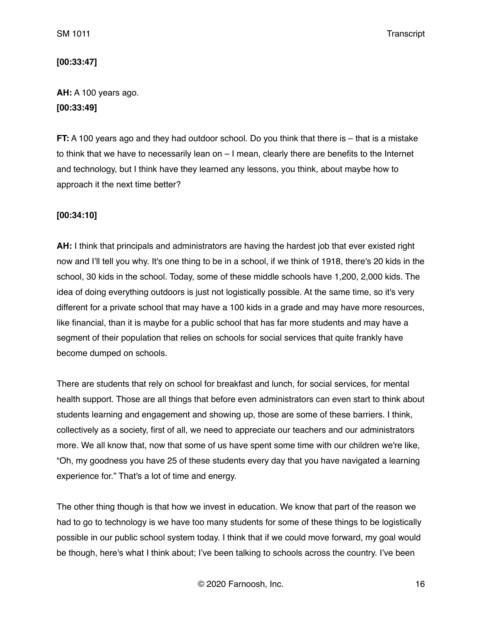## **[00:33:47]**

# **AH:** A 100 years ago. **[00:33:49]**

**FT:** A 100 years ago and they had outdoor school. Do you think that there is – that is a mistake to think that we have to necessarily lean on – I mean, clearly there are benefits to the Internet and technology, but I think have they learned any lessons, you think, about maybe how to approach it the next time better?

# **[00:34:10]**

**AH:** I think that principals and administrators are having the hardest job that ever existed right now and I'll tell you why. It's one thing to be in a school, if we think of 1918, there's 20 kids in the school, 30 kids in the school. Today, some of these middle schools have 1,200, 2,000 kids. The idea of doing everything outdoors is just not logistically possible. At the same time, so it's very different for a private school that may have a 100 kids in a grade and may have more resources, like financial, than it is maybe for a public school that has far more students and may have a segment of their population that relies on schools for social services that quite frankly have become dumped on schools.

There are students that rely on school for breakfast and lunch, for social services, for mental health support. Those are all things that before even administrators can even start to think about students learning and engagement and showing up, those are some of these barriers. I think, collectively as a society, first of all, we need to appreciate our teachers and our administrators more. We all know that, now that some of us have spent some time with our children we're like, "Oh, my goodness you have 25 of these students every day that you have navigated a learning experience for." That's a lot of time and energy.

The other thing though is that how we invest in education. We know that part of the reason we had to go to technology is we have too many students for some of these things to be logistically possible in our public school system today. I think that if we could move forward, my goal would be though, here's what I think about; I've been talking to schools across the country. I've been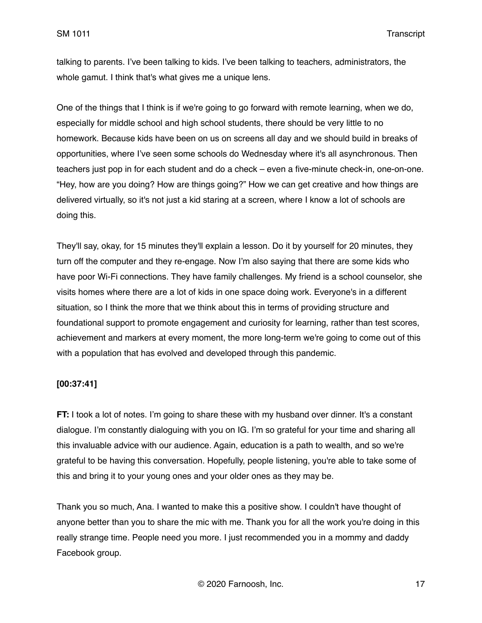talking to parents. I've been talking to kids. I've been talking to teachers, administrators, the whole gamut. I think that's what gives me a unique lens.

One of the things that I think is if we're going to go forward with remote learning, when we do, especially for middle school and high school students, there should be very little to no homework. Because kids have been on us on screens all day and we should build in breaks of opportunities, where I've seen some schools do Wednesday where it's all asynchronous. Then teachers just pop in for each student and do a check – even a five-minute check-in, one-on-one. "Hey, how are you doing? How are things going?" How we can get creative and how things are delivered virtually, so it's not just a kid staring at a screen, where I know a lot of schools are doing this.

They'll say, okay, for 15 minutes they'll explain a lesson. Do it by yourself for 20 minutes, they turn off the computer and they re-engage. Now I'm also saying that there are some kids who have poor Wi-Fi connections. They have family challenges. My friend is a school counselor, she visits homes where there are a lot of kids in one space doing work. Everyone's in a different situation, so I think the more that we think about this in terms of providing structure and foundational support to promote engagement and curiosity for learning, rather than test scores, achievement and markers at every moment, the more long-term we're going to come out of this with a population that has evolved and developed through this pandemic.

## **[00:37:41]**

**FT:** I took a lot of notes. I'm going to share these with my husband over dinner. It's a constant dialogue. I'm constantly dialoguing with you on IG. I'm so grateful for your time and sharing all this invaluable advice with our audience. Again, education is a path to wealth, and so we're grateful to be having this conversation. Hopefully, people listening, you're able to take some of this and bring it to your young ones and your older ones as they may be.

Thank you so much, Ana. I wanted to make this a positive show. I couldn't have thought of anyone better than you to share the mic with me. Thank you for all the work you're doing in this really strange time. People need you more. I just recommended you in a mommy and daddy Facebook group.